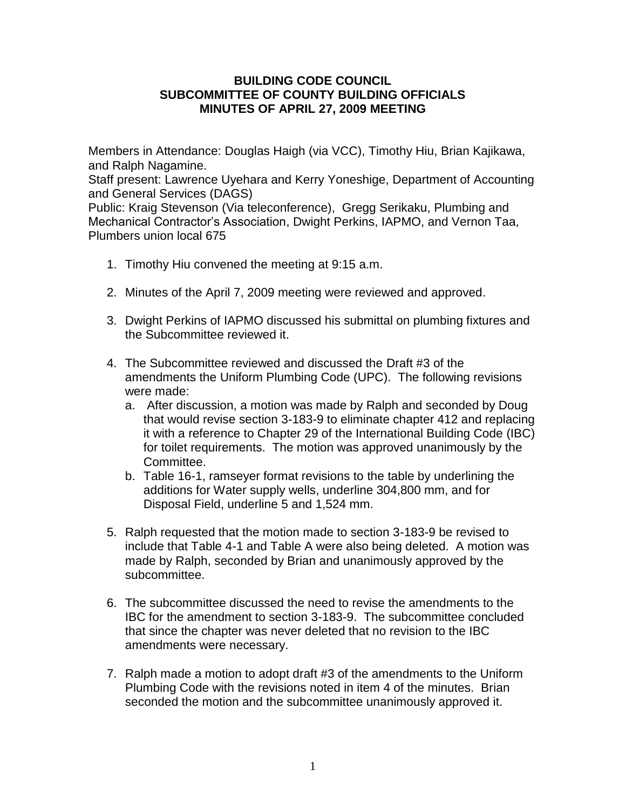## **BUILDING CODE COUNCIL SUBCOMMITTEE OF COUNTY BUILDING OFFICIALS MINUTES OF APRIL 27, 2009 MEETING**

Members in Attendance: Douglas Haigh (via VCC), Timothy Hiu, Brian Kajikawa, and Ralph Nagamine.

Staff present: Lawrence Uyehara and Kerry Yoneshige, Department of Accounting and General Services (DAGS)

Public: Kraig Stevenson (Via teleconference), Gregg Serikaku, Plumbing and Mechanical Contractor's Association, Dwight Perkins, IAPMO, and Vernon Taa, Plumbers union local 675

- 1. Timothy Hiu convened the meeting at 9:15 a.m.
- 2. Minutes of the April 7, 2009 meeting were reviewed and approved.
- 3. Dwight Perkins of IAPMO discussed his submittal on plumbing fixtures and the Subcommittee reviewed it.
- 4. The Subcommittee reviewed and discussed the Draft #3 of the amendments the Uniform Plumbing Code (UPC). The following revisions were made:
	- a. After discussion, a motion was made by Ralph and seconded by Doug that would revise section 3-183-9 to eliminate chapter 412 and replacing it with a reference to Chapter 29 of the International Building Code (IBC) for toilet requirements. The motion was approved unanimously by the Committee.
	- b. Table 16-1, ramseyer format revisions to the table by underlining the additions for Water supply wells, underline 304,800 mm, and for Disposal Field, underline 5 and 1,524 mm.
- 5. Ralph requested that the motion made to section 3-183-9 be revised to include that Table 4-1 and Table A were also being deleted. A motion was made by Ralph, seconded by Brian and unanimously approved by the subcommittee.
- 6. The subcommittee discussed the need to revise the amendments to the IBC for the amendment to section 3-183-9. The subcommittee concluded that since the chapter was never deleted that no revision to the IBC amendments were necessary.
- 7. Ralph made a motion to adopt draft #3 of the amendments to the Uniform Plumbing Code with the revisions noted in item 4 of the minutes. Brian seconded the motion and the subcommittee unanimously approved it.